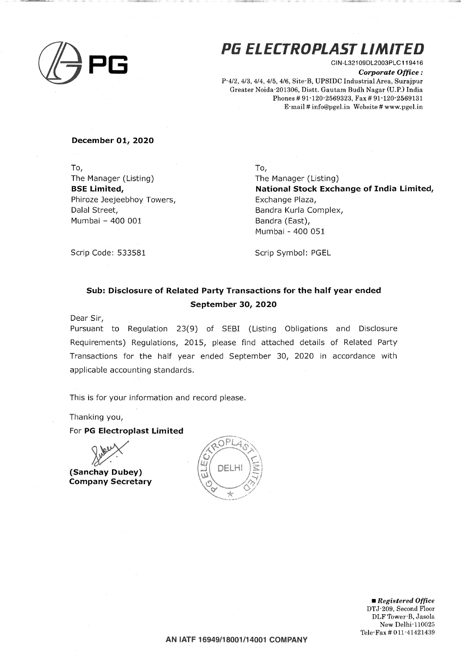

# **Pli ELECTROPLAST LIMITED**

CIN-L321 09DL2003PLC119416 *Corporate Office :*  P-4/2, 4/3, 4/4, 4/5, 4/6, Site-B, UPSIDC Industrial Area, Surajpur Greater Noida-201306, Distt. Gautam Budh Nagar (U.P.) India Phones# 91-120-2569323, Fax# 91-120-2569131 E-mail# info@pgel.in Website# www.pgel.in

### **December 01, 2020**

To, The Manager (Listing) **BSE Limited,**  Phiroze Jeejeebhoy Towers, Dalal Street, Mumbai - 400 001

To,

The Manager (Listing) **National Stock Exchange of India Limited,**  Exchange Plaza, Bandra Kurla Complex, Bandra (East), Mumbai - 400 051

Scrip Code: 533581

Scrip Symbol: PGEL

## **Sub: Disclosure of Related Party Transactions for the half year ended September 30, 2020**

Dear Sir,

Pursuant to Regulation 23(9) of SEBI (Listing Obligations and Disclosure Requirements) Regulations, 2015, please find attached details of Related Party Transactions for the half year ended September 30, 2020 in accordance with applicable accounting standards.

This is for your information and record please.

Thanking you,

For **PG Electroplast Limited** 

**(Sanchay Dubey) Company Secretary** 



• *Registered Office*  DTJ-209, Second Floor DLF Tower-B, Jasola New Delhi-110025 Tele-Fax# 011·41421439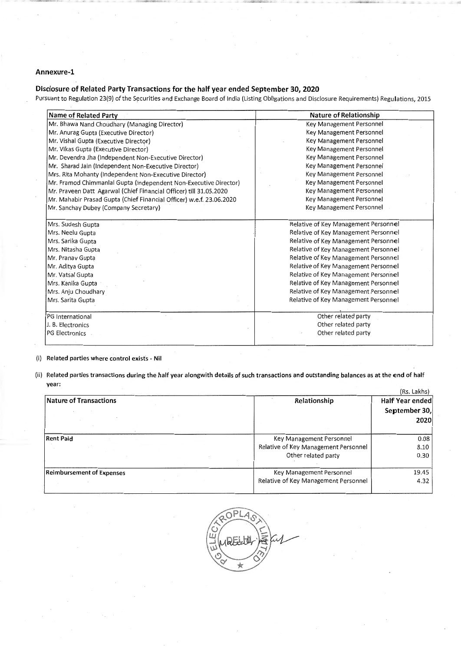#### Annexure-1

## Disclosure of Related Party Transactions for the half year ended September 30, 2020

Pursuant to Regulation 23(9} of the Securities and Exchange Board of India (Listing Obligations and Disclosure Requirements} Regulations, 2015

| <b>Name of Related Party</b>                                         | Nature of Relationship               |  |  |
|----------------------------------------------------------------------|--------------------------------------|--|--|
| Mr. Bhawa Nand Choudhary (Managing Director)                         | Key Management Personnel             |  |  |
| Mr. Anurag Gupta (Executive Director)                                | Key Management Personnel             |  |  |
| Mr. Vishal Gupta (Executive Director)                                | Key Management Personnel             |  |  |
| Mr. Vikas Gupta (Executive Director)                                 | Key Management Personnel             |  |  |
| Mr. Devendra Jha (Independent Non-Executive Director)                | Key Management Personnel             |  |  |
| Mr. Sharad Jain (Independent Non-Executive Director)                 | Key Management Personnel             |  |  |
| Mrs. Rita Mohanty (Independent Non-Executive Director)               | Key Management Personnel             |  |  |
| Mr. Pramod Chimmanial Gupta (Independent Non-Executive Director)     | Key Management Personnel             |  |  |
| Mr. Praveen Datt Agarwal (Chief Financial Officer) till 31.05.2020   | Key Management Personnel             |  |  |
| Mr. Mahabir Prasad Gupta (Chief Financial Officer) w.e.f. 23.06.2020 | Key Management Personnel             |  |  |
| Mr. Sanchay Dubey (Company Secretary)                                | Key Management Personnel             |  |  |
| Mrs. Sudesh Gupta                                                    | Relative of Key Management Personnel |  |  |
| Mrs. Neelu Gupta                                                     | Relative of Key Management Personnel |  |  |
| Mrs. Sarika Gupta                                                    | Relative of Key Management Personnel |  |  |
| Mrs. Nitasha Gupta                                                   | Relative of Key Management Personnel |  |  |
| Mr. Pranav Gupta                                                     | Relative of Key Management Personnel |  |  |
| Mr. Aditya Gupta                                                     | Relative of Key Management Personnel |  |  |
| Mr. Vatsal Gupta                                                     | Relative of Key Management Personnel |  |  |
| Mrs. Kanika Gupta                                                    | Relative of Key Management Personnel |  |  |
| Mrs. Anju Choudhary                                                  | Relative of Key Management Personnel |  |  |
| Mrs. Sarita Gupta                                                    | Relative of Key Management Personnel |  |  |
| PG International                                                     | Other related party                  |  |  |
| J. B. Electronics                                                    | Other related party                  |  |  |
| <b>PG Electronics</b>                                                | Other related party                  |  |  |
|                                                                      |                                      |  |  |

(i} Related parties where control exisfs- Nil

(ii} Related parties transactions during the half year alongwith details of such transactions and outstanding balances as at the end of half year:

|                                  |                                      | (Rs. Lakhs)     |  |
|----------------------------------|--------------------------------------|-----------------|--|
| <b>Nature of Transactions</b>    | Relationship                         | Half Year ended |  |
|                                  |                                      | September 30,   |  |
|                                  |                                      | 2020            |  |
| <b>Rent Paid</b>                 | Key Management Personnel             | 0.08            |  |
|                                  | Relative of Key Management Personnel | 8.10            |  |
|                                  | Other related party                  | 0.30            |  |
| <b>Reimbursement of Expenses</b> | Key Management Personnel             | 19.45           |  |
|                                  | Relative of Key Management Personnel | 4.32            |  |
|                                  |                                      |                 |  |